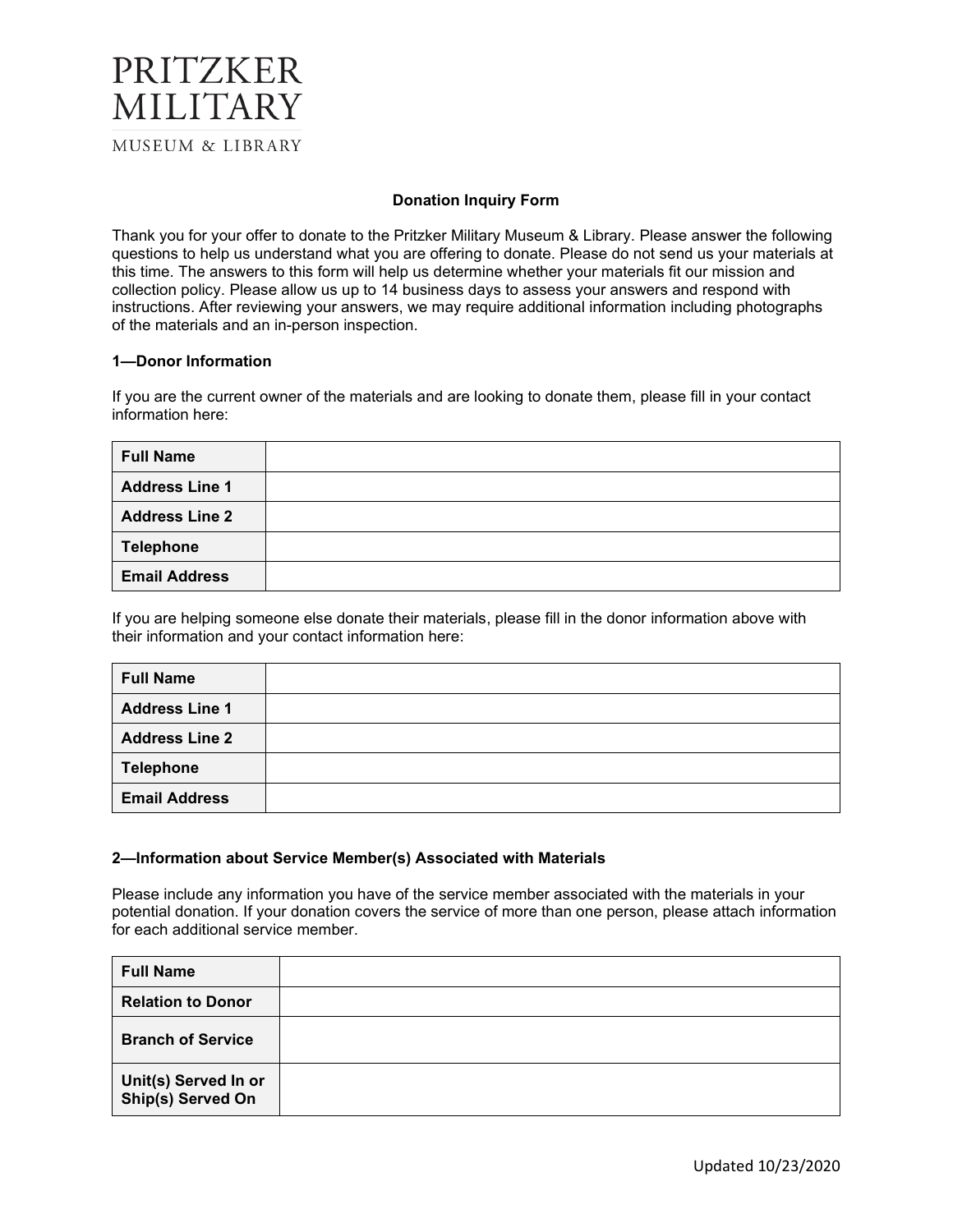### PRITZKER MILITARY **MUSEUM & LIBRARY**

#### **Donation Inquiry Form**

Thank you for your offer to donate to the Pritzker Military Museum & Library. Please answer the following questions to help us understand what you are offering to donate. Please do not send us your materials at this time. The answers to this form will help us determine whether your materials fit our mission and collection policy. Please allow us up to 14 business days to assess your answers and respond with instructions. After reviewing your answers, we may require additional information including photographs of the materials and an in-person inspection.

#### **1—Donor Information**

If you are the current owner of the materials and are looking to donate them, please fill in your contact information here:

| <b>Full Name</b>      |  |
|-----------------------|--|
| <b>Address Line 1</b> |  |
| <b>Address Line 2</b> |  |
| <b>Telephone</b>      |  |
| <b>Email Address</b>  |  |

If you are helping someone else donate their materials, please fill in the donor information above with their information and your contact information here:

| <b>Full Name</b>      |  |
|-----------------------|--|
| <b>Address Line 1</b> |  |
| <b>Address Line 2</b> |  |
| <b>Telephone</b>      |  |
| <b>Email Address</b>  |  |

#### **2—Information about Service Member(s) Associated with Materials**

Please include any information you have of the service member associated with the materials in your potential donation. If your donation covers the service of more than one person, please attach information for each additional service member.

| <b>Full Name</b>                          |  |
|-------------------------------------------|--|
| <b>Relation to Donor</b>                  |  |
| <b>Branch of Service</b>                  |  |
| Unit(s) Served In or<br>Ship(s) Served On |  |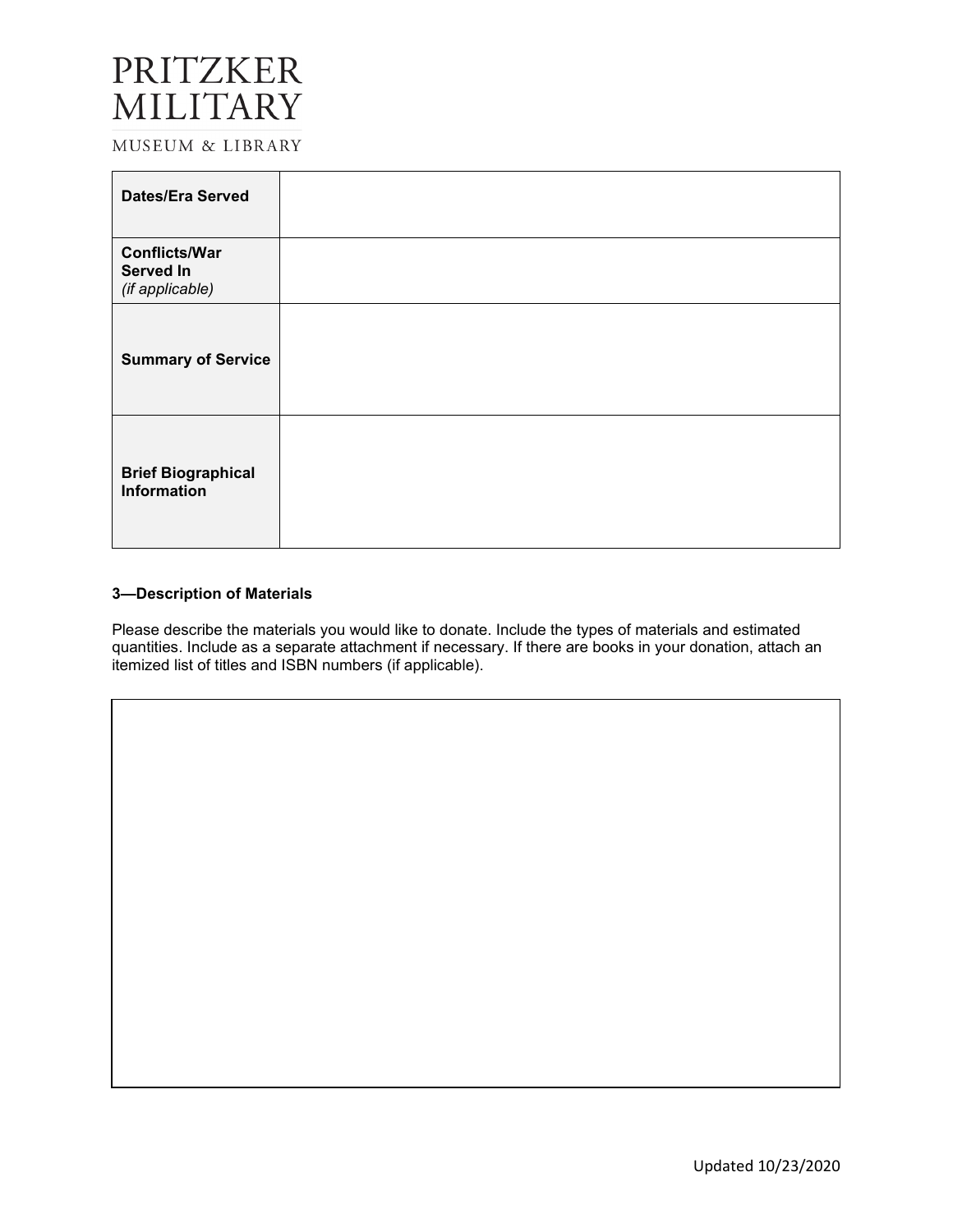## PRITZKER MILITARY

MUSEUM & LIBRARY

| <b>Dates/Era Served</b>                                     |  |
|-------------------------------------------------------------|--|
| <b>Conflicts/War</b><br><b>Served In</b><br>(if applicable) |  |
| <b>Summary of Service</b>                                   |  |
| <b>Brief Biographical</b><br>Information                    |  |

#### **3—Description of Materials**

Please describe the materials you would like to donate. Include the types of materials and estimated quantities. Include as a separate attachment if necessary. If there are books in your donation, attach an itemized list of titles and ISBN numbers (if applicable).